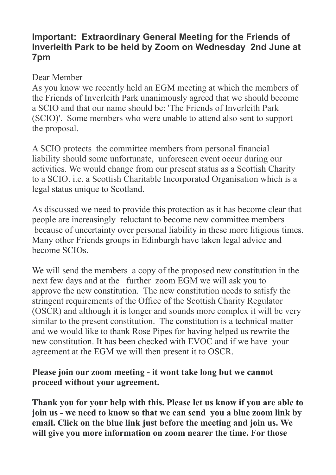## **Important: Extraordinary General Meeting for the Friends of Inverleith Park to be held by Zoom on Wednesday 2nd June at 7pm**

## Dear Member

As you know we recently held an EGM meeting at which the members of the Friends of Inverleith Park unanimously agreed that we should become a SCIO and that our name should be: 'The Friends of Inverleith Park (SCIO)'. Some members who were unable to attend also sent to support the proposal.

A SCIO protects the committee members from personal financial liability should some unfortunate, unforeseen event occur during our activities. We would change from our present status as a Scottish Charity to a SCIO. i.e. a Scottish Charitable Incorporated Organisation which is a legal status unique to Scotland.

As discussed we need to provide this protection as it has become clear that people are increasingly reluctant to become new committee members because of uncertainty over personal liability in these more litigious times. Many other Friends groups in Edinburgh have taken legal advice and become SCIOs.

We will send the members a copy of the proposed new constitution in the next few days and at the further zoom EGM we will ask you to approve the new constitution. The new constitution needs to satisfy the stringent requirements of the Office of the Scottish Charity Regulator (OSCR) and although it is longer and sounds more complex it will be very similar to the present constitution. The constitution is a technical matter and we would like to thank Rose Pipes for having helped us rewrite the new constitution. It has been checked with EVOC and if we have your agreement at the EGM we will then present it to OSCR.

## **Please join our zoom meeting - it wont take long but we cannot proceed without your agreement.**

**Thank you for your help with this. Please let us know if you are able to join us - we need to know so that we can send you a blue zoom link by email. Click on the blue link just before the meeting and join us. We will give you more information on zoom nearer the time. For those**